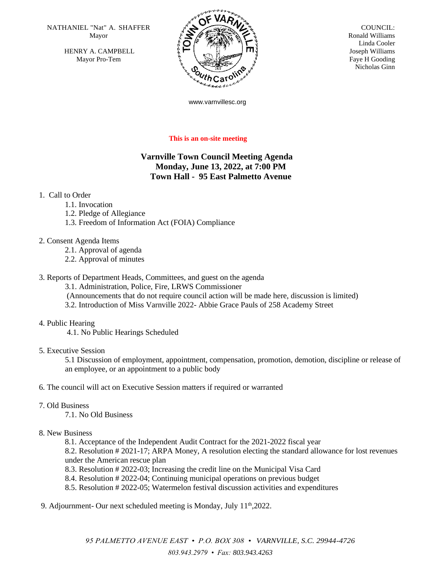NATHANIEL "Nat" A. SHAFFER  $\overline{N}$   $\overline{N}$   $\overline{N}$  COUNCIL: Mayor

HENRY A. CAMPBELL Mayor Pro-Tem



 Ronald Williams Linda Cooler Joseph Williams Faye H Gooding Nicholas Ginn

www.varnvillesc.org

#### **This is an on-site meeting**

# **Varnville Town Council Meeting Agenda Monday, June 13, 2022, at 7:00 PM Town Hall - 95 East Palmetto Avenue**

### 1. Call to Order

- 1.1. Invocation
- 1.2. Pledge of Allegiance
- 1.3. Freedom of Information Act (FOIA) Compliance
- 2. Consent Agenda Items
	- 2.1. Approval of agenda
	- 2.2. Approval of minutes

#### 3. Reports of Department Heads, Committees, and guest on the agenda

3.1. Administration, Police, Fire, LRWS Commissioner

- (Announcements that do not require council action will be made here, discussion is limited)
- 3.2. Introduction of Miss Varnville 2022- Abbie Grace Pauls of 258 Academy Street
- 4. Public Hearing

4.1. No Public Hearings Scheduled

5. Executive Session

5.1 Discussion of employment, appointment, compensation, promotion, demotion, discipline or release of an employee, or an appointment to a public body

#### 6. The council will act on Executive Session matters if required or warranted

- 7. Old Business
	- 7.1. No Old Business

## 8. New Business

8.1. Acceptance of the Independent Audit Contract for the 2021-2022 fiscal year

8.2. Resolution # 2021-17; ARPA Money, A resolution electing the standard allowance for lost revenues under the American rescue plan

- 8.3. Resolution # 2022-03; Increasing the credit line on the Municipal Visa Card
- 8.4. Resolution # 2022-04; Continuing municipal operations on previous budget
- 8.5. Resolution # 2022-05; Watermelon festival discussion activities and expenditures

9. Adjournment- Our next scheduled meeting is Monday, July  $11<sup>th</sup>$ , 2022.

*95 PALMETTO AVENUE EAST • P.O. BOX 308 • VARNVILLE, S.C. 29944-4726 803.943.2979 • Fax: 803.943.4263*